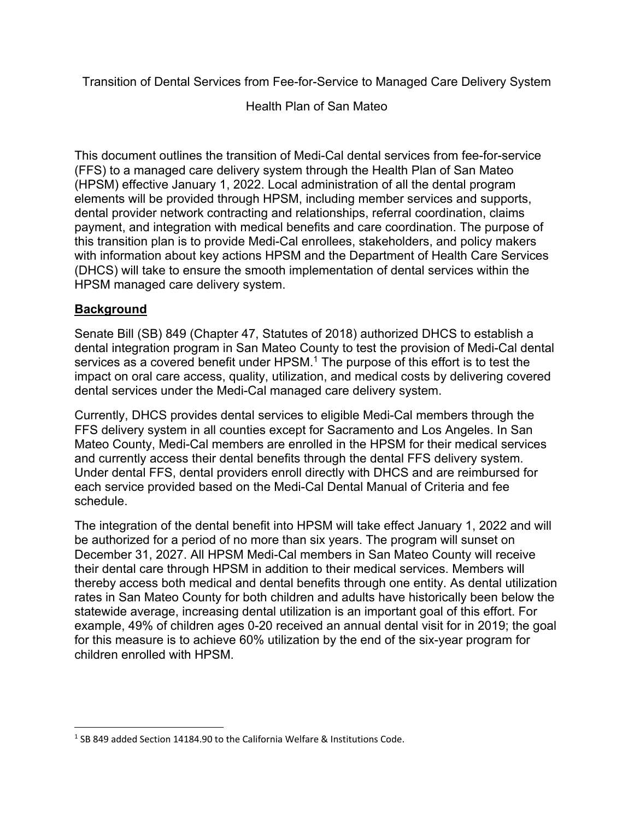Transition of Dental Services from Fee-for-Service to Managed Care Delivery System

Health Plan of San Mateo

This document outlines the transition of Medi-Cal dental services from fee-for-service (FFS) to a managed care delivery system through the Health Plan of San Mateo (HPSM) effective January 1, 2022. Local administration of all the dental program elements will be provided through HPSM, including member services and supports, dental provider network contracting and relationships, referral coordination, claims payment, and integration with medical benefits and care coordination. The purpose of this transition plan is to provide Medi-Cal enrollees, stakeholders, and policy makers with information about key actions HPSM and the Department of Health Care Services (DHCS) will take to ensure the smooth implementation of dental services within the HPSM managed care delivery system.

## **Background**

Senate Bill (SB) 849 (Chapter 47, Statutes of 2018) authorized DHCS to establish a dental integration program in San Mateo County to test the provision of Medi-Cal dental services as a covered benefit under HPSM.<sup>1</sup> The purpose of this effort is to test the impact on oral care access, quality, utilization, and medical costs by delivering covered dental services under the Medi-Cal managed care delivery system.

Currently, DHCS provides dental services to eligible Medi-Cal members through the FFS delivery system in all counties except for Sacramento and Los Angeles. In San Mateo County, Medi-Cal members are enrolled in the HPSM for their medical services and currently access their dental benefits through the dental FFS delivery system. Under dental FFS, dental providers enroll directly with DHCS and are reimbursed for each service provided based on the Medi-Cal Dental Manual of Criteria and fee schedule.

The integration of the dental benefit into HPSM will take effect January 1, 2022 and will be authorized for a period of no more than six years. The program will sunset on December 31, 2027. All HPSM Medi-Cal members in San Mateo County will receive their dental care through HPSM in addition to their medical services. Members will thereby access both medical and dental benefits through one entity. As dental utilization rates in San Mateo County for both children and adults have historically been below the statewide average, increasing dental utilization is an important goal of this effort. For example, 49% of children ages 0-20 received an annual dental visit for in 2019; the goal for this measure is to achieve 60% utilization by the end of the six-year program for children enrolled with HPSM.

<sup>&</sup>lt;sup>1</sup> SB 849 added Section 14184.90 to the California Welfare & Institutions Code.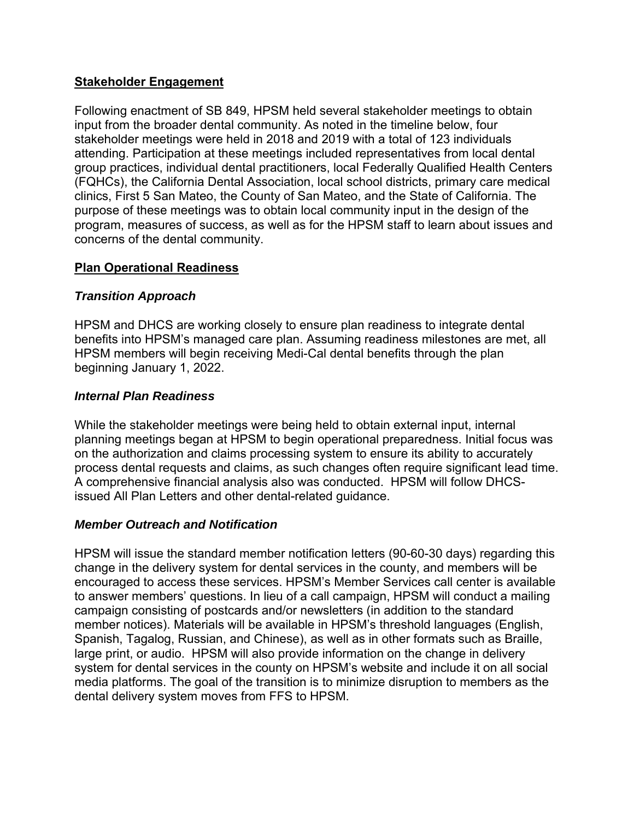### **Stakeholder Engagement**

Following enactment of SB 849, HPSM held several stakeholder meetings to obtain input from the broader dental community. As noted in the timeline below, four stakeholder meetings were held in 2018 and 2019 with a total of 123 individuals attending. Participation at these meetings included representatives from local dental group practices, individual dental practitioners, local Federally Qualified Health Centers (FQHCs), the California Dental Association, local school districts, primary care medical clinics, First 5 San Mateo, the County of San Mateo, and the State of California. The purpose of these meetings was to obtain local community input in the design of the program, measures of success, as well as for the HPSM staff to learn about issues and concerns of the dental community.

## **Plan Operational Readiness**

## *Transition Approach*

HPSM and DHCS are working closely to ensure plan readiness to integrate dental benefits into HPSM's managed care plan. Assuming readiness milestones are met, all HPSM members will begin receiving Medi-Cal dental benefits through the plan beginning January 1, 2022.

#### *Internal Plan Readiness*

While the stakeholder meetings were being held to obtain external input, internal planning meetings began at HPSM to begin operational preparedness. Initial focus was on the authorization and claims processing system to ensure its ability to accurately process dental requests and claims, as such changes often require significant lead time. A comprehensive financial analysis also was conducted. HPSM will follow DHCSissued All Plan Letters and other dental-related guidance.

## *Member Outreach and Notification*

HPSM will issue the standard member notification letters (90-60-30 days) regarding this change in the delivery system for dental services in the county, and members will be encouraged to access these services. HPSM's Member Services call center is available to answer members' questions. In lieu of a call campaign, HPSM will conduct a mailing campaign consisting of postcards and/or newsletters (in addition to the standard member notices). Materials will be available in HPSM's threshold languages (English, Spanish, Tagalog, Russian, and Chinese), as well as in other formats such as Braille, large print, or audio. HPSM will also provide information on the change in delivery system for dental services in the county on HPSM's website and include it on all social media platforms. The goal of the transition is to minimize disruption to members as the dental delivery system moves from FFS to HPSM.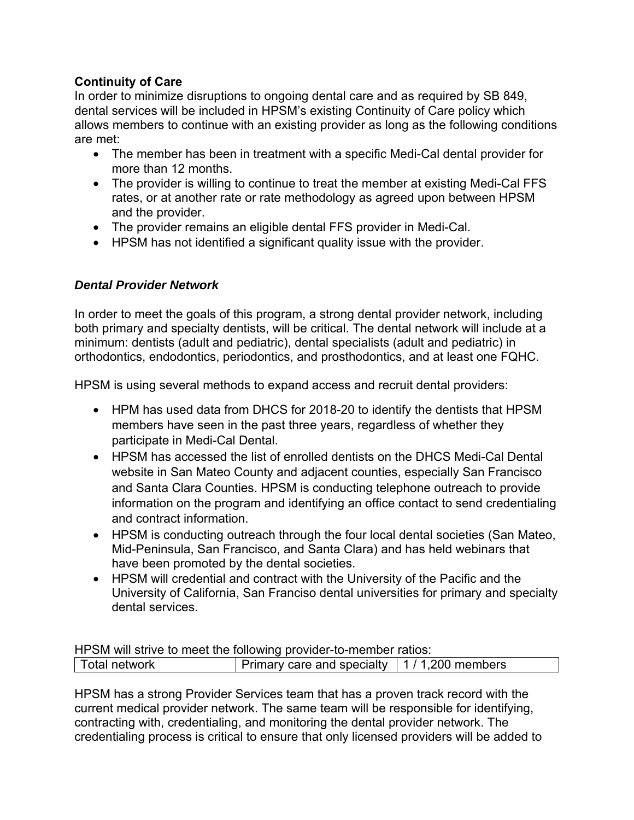## **Continuity of Care**

In order to minimize disruptions to ongoing dental care and as required by SB 849, dental services will be included in HPSM's existing Continuity of Care policy which allows members to continue with an existing provider as long as the following conditions are met:

- The member has been in treatment with a specific Medi-Cal dental provider for more than 12 months.
- The provider is willing to continue to treat the member at existing Medi-Cal FFS rates, or at another rate or rate methodology as agreed upon between HPSM and the provider.
- The provider remains an eligible dental FFS provider in Medi-Cal.
- HPSM has not identified a significant quality issue with the provider.

## *Dental Provider Network*

In order to meet the goals of this program, a strong dental provider network, including both primary and specialty dentists, will be critical. The dental network will include at a minimum: dentists (adult and pediatric), dental specialists (adult and pediatric) in orthodontics, endodontics, periodontics, and prosthodontics, and at least one FQHC.

HPSM is using several methods to expand access and recruit dental providers:

- HPM has used data from DHCS for 2018-20 to identify the dentists that HPSM members have seen in the past three years, regardless of whether they participate in Medi-Cal Dental.
- HPSM has accessed the list of enrolled dentists on the DHCS Medi-Cal Dental website in San Mateo County and adjacent counties, especially San Francisco and Santa Clara Counties. HPSM is conducting telephone outreach to provide information on the program and identifying an office contact to send credentialing and contract information.
- HPSM is conducting outreach through the four local dental societies (San Mateo, Mid-Peninsula, San Francisco, and Santa Clara) and has held webinars that have been promoted by the dental societies.
- HPSM will credential and contract with the University of the Pacific and the University of California, San Franciso dental universities for primary and specialty dental services.

HPSM will strive to meet the following provider-to-member ratios: Total network **Primary care and specialty 1** / 1,200 members

HPSM has a strong Provider Services team that has a proven track record with the current medical provider network. The same team will be responsible for identifying, contracting with, credentialing, and monitoring the dental provider network. The credentialing process is critical to ensure that only licensed providers will be added to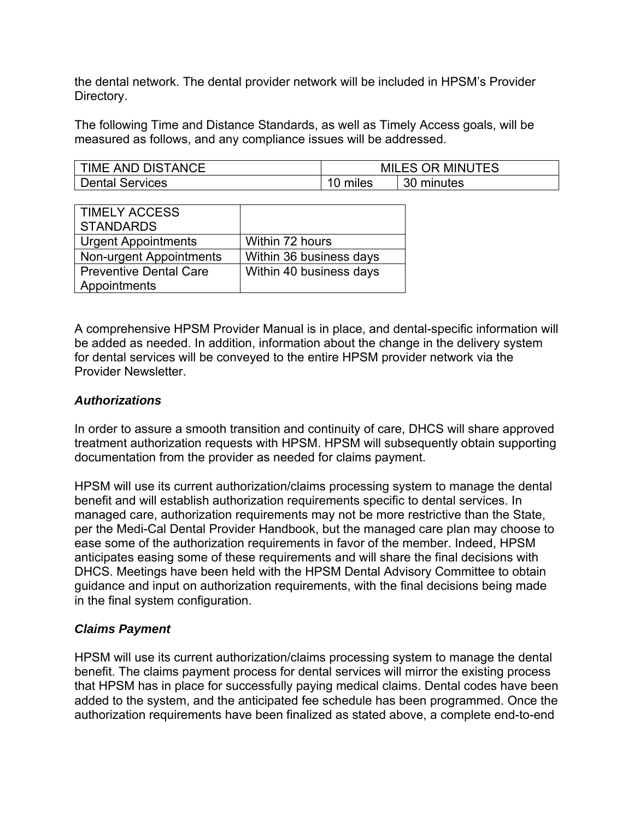the dental network. The dental provider network will be included in HPSM's Provider Directory.

The following Time and Distance Standards, as well as Timely Access goals, will be measured as follows, and any compliance issues will be addressed.

| <b>TIME AND DISTANCE</b> | <b>MILES OR MINUTES</b> |            |
|--------------------------|-------------------------|------------|
| <b>Dental Services</b>   | miles                   | 30 minutes |

| <b>TIMELY ACCESS</b><br><b>STANDARDS</b> |                         |
|------------------------------------------|-------------------------|
| <b>Urgent Appointments</b>               | Within 72 hours         |
| <b>Non-urgent Appointments</b>           | Within 36 business days |
| <b>Preventive Dental Care</b>            | Within 40 business days |
| Appointments                             |                         |

A comprehensive HPSM Provider Manual is in place, and dental-specific information will be added as needed. In addition, information about the change in the delivery system for dental services will be conveyed to the entire HPSM provider network via the Provider Newsletter.

#### *Authorizations*

In order to assure a smooth transition and continuity of care, DHCS will share approved treatment authorization requests with HPSM. HPSM will subsequently obtain supporting documentation from the provider as needed for claims payment.

HPSM will use its current authorization/claims processing system to manage the dental benefit and will establish authorization requirements specific to dental services. In managed care, authorization requirements may not be more restrictive than the State, per the Medi-Cal Dental Provider Handbook, but the managed care plan may choose to ease some of the authorization requirements in favor of the member. Indeed, HPSM anticipates easing some of these requirements and will share the final decisions with DHCS. Meetings have been held with the HPSM Dental Advisory Committee to obtain guidance and input on authorization requirements, with the final decisions being made in the final system configuration.

## *Claims Payment*

HPSM will use its current authorization/claims processing system to manage the dental benefit. The claims payment process for dental services will mirror the existing process that HPSM has in place for successfully paying medical claims. Dental codes have been added to the system, and the anticipated fee schedule has been programmed. Once the authorization requirements have been finalized as stated above, a complete end-to-end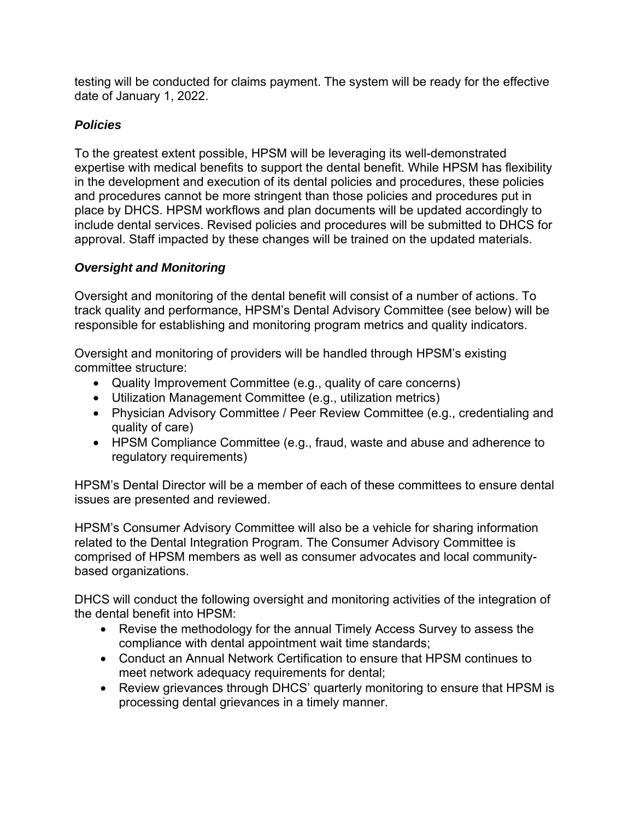testing will be conducted for claims payment. The system will be ready for the effective date of January 1, 2022.

## *Policies*

To the greatest extent possible, HPSM will be leveraging its well-demonstrated expertise with medical benefits to support the dental benefit. While HPSM has flexibility in the development and execution of its dental policies and procedures, these policies and procedures cannot be more stringent than those policies and procedures put in place by DHCS. HPSM workflows and plan documents will be updated accordingly to include dental services. Revised policies and procedures will be submitted to DHCS for approval. Staff impacted by these changes will be trained on the updated materials.

# *Oversight and Monitoring*

Oversight and monitoring of the dental benefit will consist of a number of actions. To track quality and performance, HPSM's Dental Advisory Committee (see below) will be responsible for establishing and monitoring program metrics and quality indicators.

Oversight and monitoring of providers will be handled through HPSM's existing committee structure:

- Quality Improvement Committee (e.g., quality of care concerns)
- Utilization Management Committee (e.g., utilization metrics)
- Physician Advisory Committee / Peer Review Committee (e.g., credentialing and quality of care)
- HPSM Compliance Committee (e.g., fraud, waste and abuse and adherence to regulatory requirements)

HPSM's Dental Director will be a member of each of these committees to ensure dental issues are presented and reviewed.

HPSM's Consumer Advisory Committee will also be a vehicle for sharing information related to the Dental Integration Program. The Consumer Advisory Committee is comprised of HPSM members as well as consumer advocates and local communitybased organizations.

DHCS will conduct the following oversight and monitoring activities of the integration of the dental benefit into HPSM:

- Revise the methodology for the annual Timely Access Survey to assess the compliance with dental appointment wait time standards;
- Conduct an Annual Network Certification to ensure that HPSM continues to meet network adequacy requirements for dental;
- Review grievances through DHCS' quarterly monitoring to ensure that HPSM is processing dental grievances in a timely manner.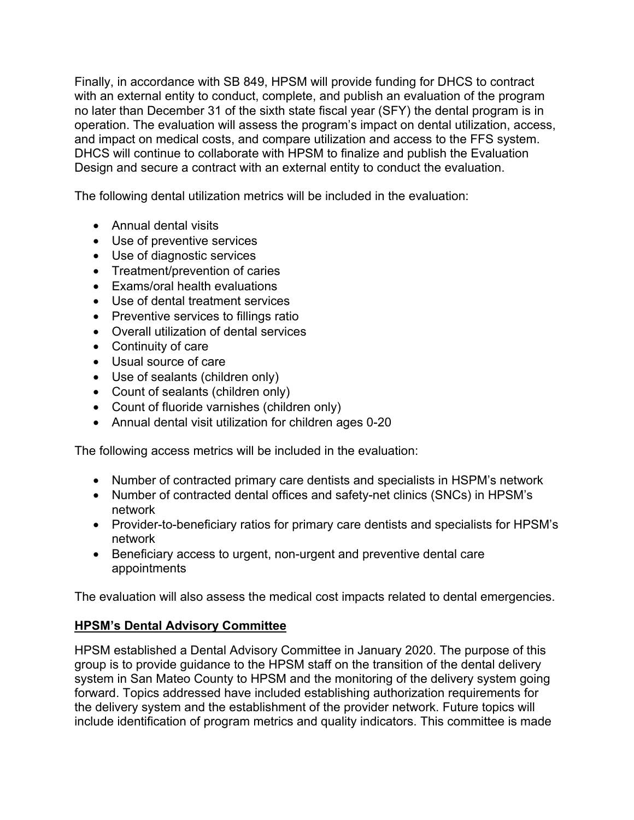Finally, in accordance with SB 849, HPSM will provide funding for DHCS to contract with an external entity to conduct, complete, and publish an evaluation of the program no later than December 31 of the sixth state fiscal year (SFY) the dental program is in operation. The evaluation will assess the program's impact on dental utilization, access, and impact on medical costs, and compare utilization and access to the FFS system. DHCS will continue to collaborate with HPSM to finalize and publish the Evaluation Design and secure a contract with an external entity to conduct the evaluation.

The following dental utilization metrics will be included in the evaluation:

- Annual dental visits
- Use of preventive services
- Use of diagnostic services
- Treatment/prevention of caries
- Exams/oral health evaluations
- Use of dental treatment services
- Preventive services to fillings ratio
- Overall utilization of dental services
- Continuity of care
- Usual source of care
- Use of sealants (children only)
- Count of sealants (children only)
- Count of fluoride varnishes (children only)
- Annual dental visit utilization for children ages 0-20

The following access metrics will be included in the evaluation:

- Number of contracted primary care dentists and specialists in HSPM's network
- Number of contracted dental offices and safety-net clinics (SNCs) in HPSM's network
- Provider-to-beneficiary ratios for primary care dentists and specialists for HPSM's network
- Beneficiary access to urgent, non-urgent and preventive dental care appointments

The evaluation will also assess the medical cost impacts related to dental emergencies.

## **HPSM's Dental Advisory Committee**

HPSM established a Dental Advisory Committee in January 2020. The purpose of this group is to provide guidance to the HPSM staff on the transition of the dental delivery system in San Mateo County to HPSM and the monitoring of the delivery system going forward. Topics addressed have included establishing authorization requirements for the delivery system and the establishment of the provider network. Future topics will include identification of program metrics and quality indicators. This committee is made